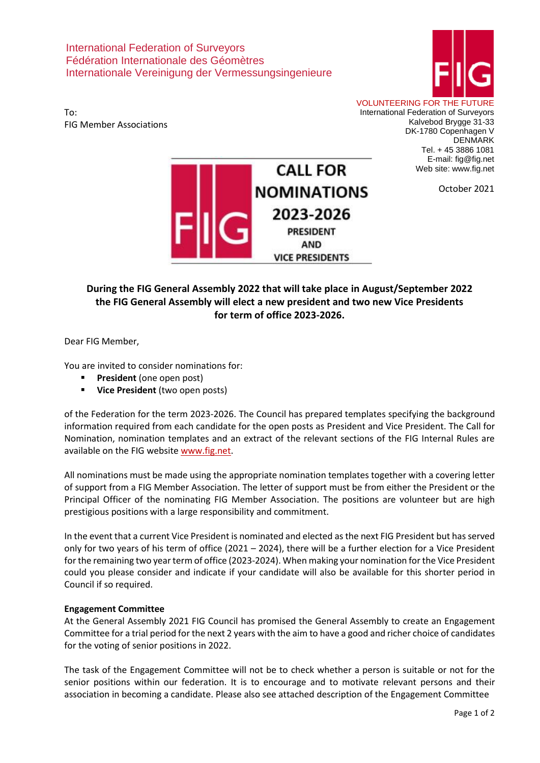International Federation of Surveyors Fédération Internationale des Géomètres Internationale Vereinigung der Vermessungsingenieure



To: FIG Member Associations VOLUNTEERING FOR THE FUTURE

International Federation of Surveyors Kalvebod Brygge 31-33 DK-1780 Copenhagen V DENMARK Tel. + 45 3886 1081 E-mail: fig@fig.net Web site: www.fig.net



October 2021

## **During the FIG General Assembly 2022 that will take place in August/September 2022 the FIG General Assembly will elect a new president and two new Vice Presidents for term of office 2023-2026.**

Dear FIG Member,

You are invited to consider nominations for:

- **President** (one open post)
- **Vice President** (two open posts)

of the Federation for the term 2023-2026. The Council has prepared templates specifying the background information required from each candidate for the open posts as President and Vice President. The Call for Nomination, nomination templates and an extract of the relevant sections of the FIG Internal Rules are available on the FIG website [www.fig.net.](http://www.fig.net/)

All nominations must be made using the appropriate nomination templates together with a covering letter of support from a FIG Member Association. The letter of support must be from either the President or the Principal Officer of the nominating FIG Member Association. The positions are volunteer but are high prestigious positions with a large responsibility and commitment.

In the event that a current Vice President is nominated and elected as the next FIG President but has served only for two years of his term of office (2021 – 2024), there will be a further election for a Vice President for the remaining two year term of office (2023-2024). When making your nomination for the Vice President could you please consider and indicate if your candidate will also be available for this shorter period in Council if so required.

## **Engagement Committee**

At the General Assembly 2021 FIG Council has promised the General Assembly to create an Engagement Committee for a trial period for the next 2 years with the aim to have a good and richer choice of candidates for the voting of senior positions in 2022.

The task of the Engagement Committee will not be to check whether a person is suitable or not for the senior positions within our federation. It is to encourage and to motivate relevant persons and their association in becoming a candidate. Please also see attached description of the Engagement Committee